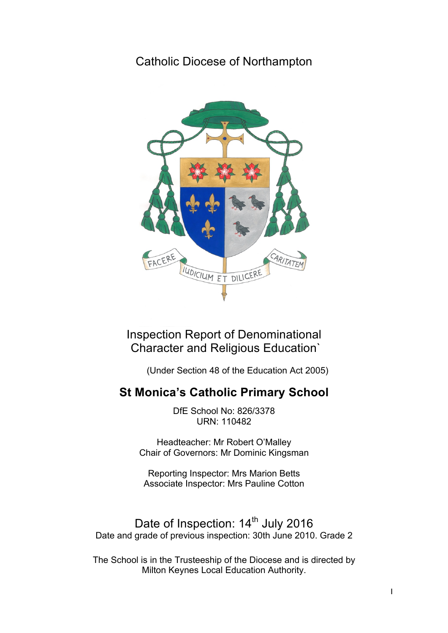# Catholic Diocese of Northampton



Inspection Report of Denominational Character and Religious Education`

(Under Section 48 of the Education Act 2005)

# **St Monica's Catholic Primary School**

DfE School No: 826/3378 URN: 110482

Headteacher: Mr Robert O'Malley Chair of Governors: Mr Dominic Kingsman

Reporting Inspector: Mrs Marion Betts Associate Inspector: Mrs Pauline Cotton

Date of Inspection: 14<sup>th</sup> July 2016 Date and grade of previous inspection: 30th June 2010. Grade 2

The School is in the Trusteeship of the Diocese and is directed by Milton Keynes Local Education Authority.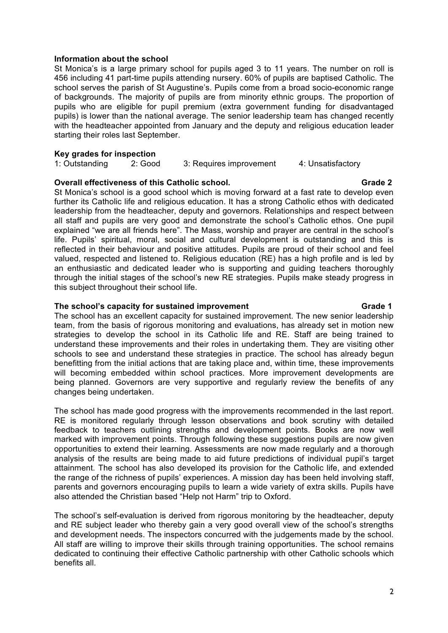### **Information about the school**

St Monica's is a large primary school for pupils aged 3 to 11 years. The number on roll is 456 including 41 part-time pupils attending nursery. 60% of pupils are baptised Catholic. The school serves the parish of St Augustine's. Pupils come from a broad socio-economic range of backgrounds. The majority of pupils are from minority ethnic groups. The proportion of pupils who are eligible for pupil premium (extra government funding for disadvantaged pupils) is lower than the national average. The senior leadership team has changed recently with the headteacher appointed from January and the deputy and religious education leader starting their roles last September.

### **Key grades for inspection**

| __             |         |                         |                   |
|----------------|---------|-------------------------|-------------------|
| 1: Outstanding | 2: Good | 3: Requires improvement | 4: Unsatisfactory |

### **Overall effectiveness of this Catholic school.** Contact the Catalogue of the Crade 2

St Monica's school is a good school which is moving forward at a fast rate to develop even further its Catholic life and religious education. It has a strong Catholic ethos with dedicated leadership from the headteacher, deputy and governors. Relationships and respect between all staff and pupils are very good and demonstrate the school's Catholic ethos. One pupil explained "we are all friends here". The Mass, worship and prayer are central in the school's life. Pupils' spiritual, moral, social and cultural development is outstanding and this is reflected in their behaviour and positive attitudes. Pupils are proud of their school and feel valued, respected and listened to. Religious education (RE) has a high profile and is led by an enthusiastic and dedicated leader who is supporting and guiding teachers thoroughly through the initial stages of the school's new RE strategies. Pupils make steady progress in this subject throughout their school life.

### The school's capacity for sustained improvement The school's capacity for sustained improvement

The school has an excellent capacity for sustained improvement. The new senior leadership team, from the basis of rigorous monitoring and evaluations, has already set in motion new strategies to develop the school in its Catholic life and RE. Staff are being trained to understand these improvements and their roles in undertaking them. They are visiting other schools to see and understand these strategies in practice. The school has already begun benefitting from the initial actions that are taking place and, within time, these improvements will becoming embedded within school practices. More improvement developments are being planned. Governors are very supportive and regularly review the benefits of any changes being undertaken.

The school has made good progress with the improvements recommended in the last report. RE is monitored regularly through lesson observations and book scrutiny with detailed feedback to teachers outlining strengths and development points. Books are now well marked with improvement points. Through following these suggestions pupils are now given opportunities to extend their learning. Assessments are now made regularly and a thorough analysis of the results are being made to aid future predictions of individual pupil's target attainment. The school has also developed its provision for the Catholic life, and extended the range of the richness of pupils' experiences. A mission day has been held involving staff, parents and governors encouraging pupils to learn a wide variety of extra skills. Pupils have also attended the Christian based "Help not Harm" trip to Oxford.

The school's self-evaluation is derived from rigorous monitoring by the headteacher, deputy and RE subject leader who thereby gain a very good overall view of the school's strengths and development needs. The inspectors concurred with the judgements made by the school. All staff are willing to improve their skills through training opportunities. The school remains dedicated to continuing their effective Catholic partnership with other Catholic schools which benefits all.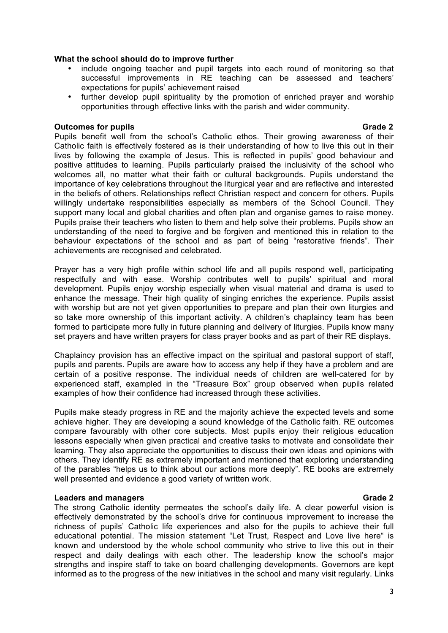### **What the school should do to improve further**

- include ongoing teacher and pupil targets into each round of monitoring so that successful improvements in RE teaching can be assessed and teachers' expectations for pupils' achievement raised
- further develop pupil spirituality by the promotion of enriched prayer and worship opportunities through effective links with the parish and wider community.

### **Outcomes for pupils Grade 2** and **Contract Contract Contract Contract Contract Contract Contract Contract Contract Contract Contract Contract Contract Contract Contract Contract Contract Contract Contract Contract Contrac**

Pupils benefit well from the school's Catholic ethos. Their growing awareness of their Catholic faith is effectively fostered as is their understanding of how to live this out in their lives by following the example of Jesus. This is reflected in pupils' good behaviour and positive attitudes to learning. Pupils particularly praised the inclusivity of the school who welcomes all, no matter what their faith or cultural backgrounds. Pupils understand the importance of key celebrations throughout the liturgical year and are reflective and interested in the beliefs of others. Relationships reflect Christian respect and concern for others. Pupils willingly undertake responsibilities especially as members of the School Council. They support many local and global charities and often plan and organise games to raise money. Pupils praise their teachers who listen to them and help solve their problems. Pupils show an understanding of the need to forgive and be forgiven and mentioned this in relation to the behaviour expectations of the school and as part of being "restorative friends". Their achievements are recognised and celebrated.

Prayer has a very high profile within school life and all pupils respond well, participating respectfully and with ease. Worship contributes well to pupils' spiritual and moral development. Pupils enjoy worship especially when visual material and drama is used to enhance the message. Their high quality of singing enriches the experience. Pupils assist with worship but are not yet given opportunities to prepare and plan their own liturgies and so take more ownership of this important activity. A children's chaplaincy team has been formed to participate more fully in future planning and delivery of liturgies. Pupils know many set prayers and have written prayers for class prayer books and as part of their RE displays.

Chaplaincy provision has an effective impact on the spiritual and pastoral support of staff, pupils and parents. Pupils are aware how to access any help if they have a problem and are certain of a positive response. The individual needs of children are well-catered for by experienced staff, exampled in the "Treasure Box" group observed when pupils related examples of how their confidence had increased through these activities.

Pupils make steady progress in RE and the majority achieve the expected levels and some achieve higher. They are developing a sound knowledge of the Catholic faith. RE outcomes compare favourably with other core subjects. Most pupils enjoy their religious education lessons especially when given practical and creative tasks to motivate and consolidate their learning. They also appreciate the opportunities to discuss their own ideas and opinions with others. They identify RE as extremely important and mentioned that exploring understanding of the parables "helps us to think about our actions more deeply". RE books are extremely well presented and evidence a good variety of written work.

## **Leaders and managers Grade 2** and the control of the control of the control of the control of the control of the control of the control of the control of the control of the control of the control of the control of the con

The strong Catholic identity permeates the school's daily life. A clear powerful vision is effectively demonstrated by the school's drive for continuous improvement to increase the richness of pupils' Catholic life experiences and also for the pupils to achieve their full educational potential. The mission statement "Let Trust, Respect and Love live here" is known and understood by the whole school community who strive to live this out in their respect and daily dealings with each other. The leadership know the school's major strengths and inspire staff to take on board challenging developments. Governors are kept informed as to the progress of the new initiatives in the school and many visit regularly. Links